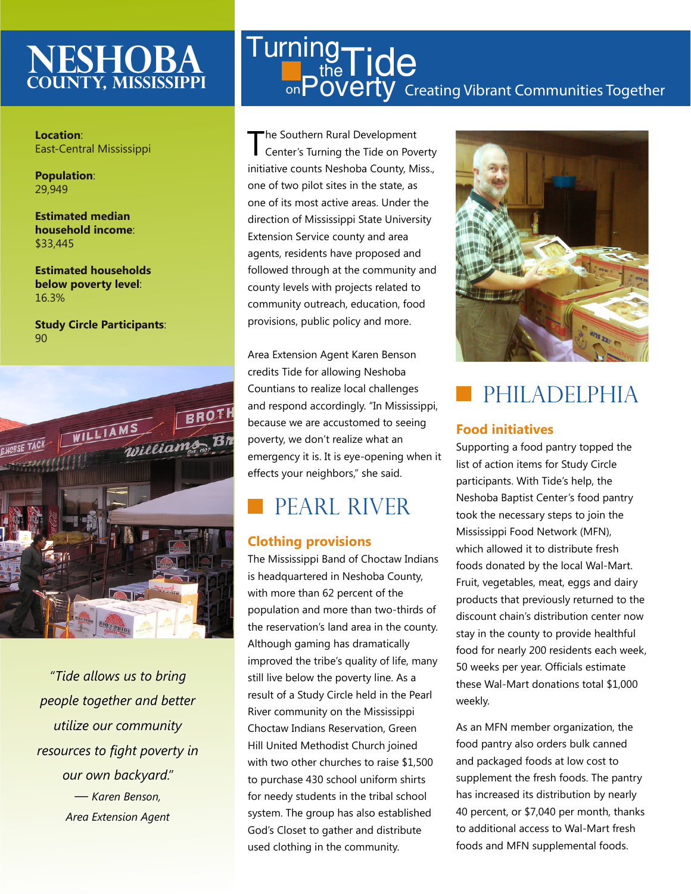## **neshoba County, Mississippi**

**Location**: East-Central Mississippi

**Population**: 29,949

**Estimated median household income**: \$33,445

**Estimated households below poverty level**: 16.3%

**Study Circle Participants**: 90



*"Tide allows us to bring people together and better utilize our community resources to fight poverty in our own backyard." — Karen Benson, Area Extension Agent*

## on $\overline{\mathsf{Power}}$  Creating Vibrant Communities Together **Turning**  $t_{\text{the}}^{\text{19}}$ Tide

The Southern Rural Development<br>
Center's Turning the Tide on Poverty initiative counts Neshoba County, Miss., one of two pilot sites in the state, as one of its most active areas. Under the direction of Mississippi State University Extension Service county and area agents, residents have proposed and followed through at the community and county levels with projects related to community outreach, education, food provisions, public policy and more.

Area Extension Agent Karen Benson credits Tide for allowing Neshoba Countians to realize local challenges and respond accordingly. "In Mississippi, because we are accustomed to seeing poverty, we don't realize what an emergency it is. It is eye-opening when it effects your neighbors," she said.

## Pearl river

### **Clothing provisions**

The Mississippi Band of Choctaw Indians is headquartered in Neshoba County, with more than 62 percent of the population and more than two-thirds of the reservation's land area in the county. Although gaming has dramatically improved the tribe's quality of life, many still live below the poverty line. As a result of a Study Circle held in the Pearl River community on the Mississippi Choctaw Indians Reservation, Green Hill United Methodist Church joined with two other churches to raise \$1,500 to purchase 430 school uniform shirts for needy students in the tribal school system. The group has also established God's Closet to gather and distribute used clothing in the community.



## PHILADELPHIA

#### **Food initiatives**

Supporting a food pantry topped the list of action items for Study Circle participants. With Tide's help, the Neshoba Baptist Center's food pantry took the necessary steps to join the Mississippi Food Network (MFN), which allowed it to distribute fresh foods donated by the local Wal-Mart. Fruit, vegetables, meat, eggs and dairy products that previously returned to the discount chain's distribution center now stay in the county to provide healthful food for nearly 200 residents each week, 50 weeks per year. Officials estimate these Wal-Mart donations total \$1,000 weekly.

As an MFN member organization, the food pantry also orders bulk canned and packaged foods at low cost to supplement the fresh foods. The pantry has increased its distribution by nearly 40 percent, or \$7,040 per month, thanks to additional access to Wal-Mart fresh foods and MFN supplemental foods.